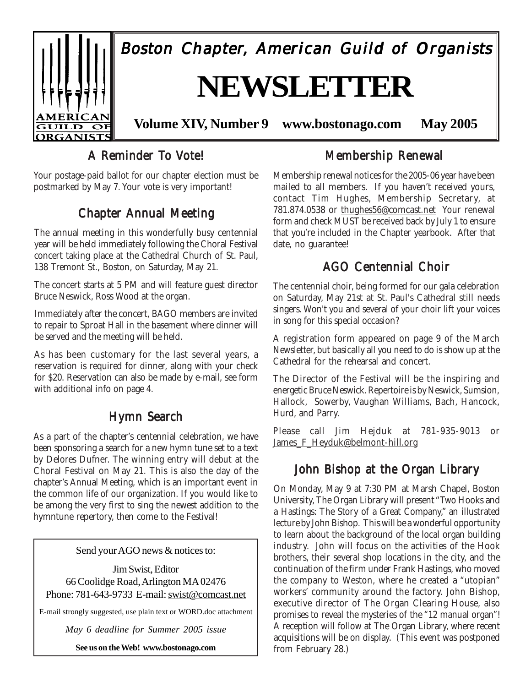

## A Reminder To Vote!

Your postage-paid ballot for our chapter election must be postmarked by May 7. Your vote is very important!

## Chapter Annual Meeting

The annual meeting in this wonderfully busy centennial year will be held immediately following the Choral Festival concert taking place at the Cathedral Church of St. Paul, 138 Tremont St., Boston, on Saturday, May 21.

The concert starts at 5 PM and will feature guest director Bruce Neswick, Ross Wood at the organ.

Immediately after the concert, BAGO members are invited to repair to Sproat Hall in the basement where dinner will be served and the meeting will be held.

As has been customary for the last several years, a reservation is required for dinner, along with your check for \$20. Reservation can also be made by e-mail, see form with additional info on page 4.

## Hymn Search

As a part of the chapter's centennial celebration, we have been sponsoring a search for a new hymn tune set to a text by Delores Dufner. The winning entry will debut at the Choral Festival on May 21. This is also the day of the chapter's Annual Meeting, which is an important event in the common life of our organization. If you would like to be among the very first to sing the newest addition to the hymntune repertory, then come to the Festival!

Send your AGO news & notices to:

Jim Swist, Editor 66 Coolidge Road, Arlington MA 02476 Phone: 781-643-9733 E-mail: swist@comcast.net

E-mail strongly suggested, use plain text or WORD.doc attachment

*May 6 deadline for Summer 2005 issue*

**See us on the Web! www.bostonago.com**

## Membership Renewal

Membership renewal notices for the 2005-06 year have been mailed to all members. If you haven't received yours, contact Tim Hughes, Membership Secretary, at 781.874.0538 or thughes56@comcast.net Your renewal form and check MUST be received back by July 1 to ensure that you're included in the Chapter yearbook. After that date, no guarantee!

## AGO Centennial Choir

The centennial choir, being formed for our gala celebration on Saturday, May 21st at St. Paul's Cathedral still needs singers. Won't you and several of your choir lift your voices in song for this special occasion?

A registration form appeared on page 9 of the March Newsletter, but basically all you need to do is show up at the Cathedral for the rehearsal and concert.

The Director of the Festival will be the inspiring and energetic Bruce Neswick. Repertoire is by Neswick, Sumsion, Hallock, Sowerby, Vaughan Williams, Bach, Hancock, Hurd, and Parry.

Please call Jim Hejduk at 781-935-9013 or James F Heyduk@belmont-hill.org

## John Bishop at the Organ Library

On Monday, May 9 at 7:30 PM at Marsh Chapel, Boston University, The Organ Library will present "Two Hooks and a Hastings: The Story of a Great Company," an illustrated lecture by John Bishop. This will be a wonderful opportunity to learn about the background of the local organ building industry. John will focus on the activities of the Hook brothers, their several shop locations in the city, and the continuation of the firm under Frank Hastings, who moved the company to Weston, where he created a "utopian" workers' community around the factory. John Bishop, executive director of The Organ Clearing House, also promises to reveal the mysteries of the "12 manual organ"! A reception will follow at The Organ Library, where recent acquisitions will be on display. (This event was postponed from February 28.)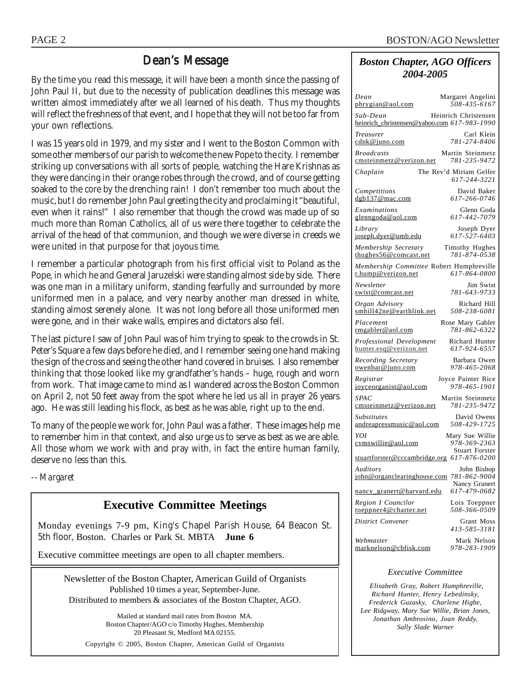### Dean's Message

By the time you read this message, it will have been a month since the passing of John Paul II, but due to the necessity of publication deadlines this message was written almost immediately after we all learned of his death. Thus my thoughts will reflect the freshness of that event, and I hope that they will not be too far from your own reflections.

I was 15 years old in 1979, and my sister and I went to the Boston Common with some other members of our parish to welcome the new Pope to the city. I remember striking up conversations with all sorts of people, watching the Hare Krishnas as they were dancing in their orange robes through the crowd, and of course getting soaked to the core by the drenching rain! I don't remember too much about the music, but I do remember John Paul greeting the city and proclaiming it "beautiful, even when it rains!" I also remember that though the crowd was made up of so much more than Roman Catholics, all of us were there together to celebrate the arrival of the head of that communion, and though we were diverse in creeds we were united in that purpose for that joyous time.

I remember a particular photograph from his first official visit to Poland as the Pope, in which he and General Jaruzelski were standing almost side by side. There was one man in a military uniform, standing fearfully and surrounded by more uniformed men in a palace, and very nearby another man dressed in white, standing almost serenely alone. It was not long before all those uniformed men were gone, and in their wake walls, empires and dictators also fell.

The last picture I saw of John Paul was of him trying to speak to the crowds in St. Peter's Square a few days before he died, and I remember seeing one hand making the sign of the cross and seeing the other hand covered in bruises. I also remember thinking that those looked like my grandfather's hands – huge, rough and worn from work. That image came to mind as I wandered across the Boston Common on April 2, not 50 feet away from the spot where he led us all in prayer 26 years ago. He was still leading his flock, as best as he was able, right up to the end.

To many of the people we work for, John Paul was a father. These images help me to remember him in that context, and also urge us to serve as best as we are able. All those whom we work with and pray with, in fact the entire human family, deserve no less than this.

*-- Margaret*

## **Executive Committee Meetings**

Monday evenings 7-9 pm, King's Chapel Parish House, 64 Beacon St. 5th floor, Boston. Charles or Park St. MBTA **June 6**

Executive committee meetings are open to all chapter members.

Newsletter of the Boston Chapter, American Guild of Organists Published 10 times a year, September-June. Distributed to members & associates of the Boston Chapter, AGO.

> Mailed at standard mail rates from Boston MA. Boston Chapter/AGO c/o Timothy Hughes, Membership 20 Pleasant St, Medford MA 02155.

Copyright © 2005, Boston Chapter, American Guild of Organists

#### *Boston Chapter, AGO Officers 2004-2005*

| Dean<br>phrygian@aol.com                                       | Margaret Angelini<br>508-435-6167                        |
|----------------------------------------------------------------|----------------------------------------------------------|
| Sub-Dean<br>heinrich_christensen@yahoo.com 617-983-1990        | Heinrich Christensen                                     |
| Treasurer<br>cdnk@juno.com                                     | Carl Klein<br>781-274-8406                               |
| <b>Broadcasts</b><br>cmsteinmetz@verizon.net                   | Martin Steinmetz<br>781-235-9472                         |
| Chaplain                                                       | The Rev'd Miriam Gelfer<br>617-244-3221                  |
| Competitions<br>dgb137@mac.com                                 | David Baker<br>617-266-0746                              |
| Examinations<br>glenngoda@aol.com                              | Glenn Goda<br>617-442-7079                               |
| Library<br>joseph.dyer@umb.edu                                 | Joseph Dyer<br>617-527-6403                              |
| Membership Secretary<br>thughes56@comcast.net                  | Timothy Hughes<br>781-874-0538                           |
| Membership Committee Robert Humphreville<br>r.hump@verizon.net | 617-864-0800                                             |
| Newsletter<br>swist@comcast.net                                | Jim Swist<br>781-643-9733                                |
| Organ Advisory<br>smhill42ne@earthlink.net                     | Richard Hill<br>508-238-6081                             |
| Placement<br>rmgabler@aol.com                                  | Rose Mary Gabler<br>781-862-6322                         |
| Professional Development<br>hunter.esq@verizon.net             | Richard Hunter<br>617-924-6557                           |
| Recording Secretary<br>owenbar@juno.com                        | Barbara Owen<br>978-465-2068                             |
| Registrar<br>joyceorganist@aol.com                             | Joyce Painter Rice<br>978-465-1901                       |
| SPAC<br>cmsteinmetz@verizon.net                                | Martin Steinmetz<br>781-235-9472                         |
| <i>Substitutes</i><br>andreapressmusic@aol.com                 | David Owens<br>508-429-1725                              |
| YOI<br>cymswillie@aol.com                                      | Mary Sue Willie<br>978-369-2363<br><b>Stuart Forster</b> |
| stuartforster@cccambridge.org 617-876-0200                     |                                                          |
| Auditors<br>john@organclearinghouse.com 781-862-9004           | John Bishop                                              |
| nancy_granert@harvard.edu                                      | Nancy Granert<br>617-479-0682                            |
| Region I Councilor<br>toeppner4@charter.net                    | Lois Toeppner<br>508-366-0509                            |
| District Convener                                              | Grant Moss<br>413-585-3181                               |
| Webmaster<br>marknelson@cbfisk.com                             | Mark Nelson<br>978-283-1909                              |

#### *Executive Committee*

 *Elisabeth Gray, Robert Humphreville, Richard Hunter, Henry Lebedinsky, Frederick Guzasky, Charlene Higbe, Lee Ridgway, Mary Sue Willie, Brian Jones, Jonathan Ambrosino, Joan Reddy, Sally Slade Warner*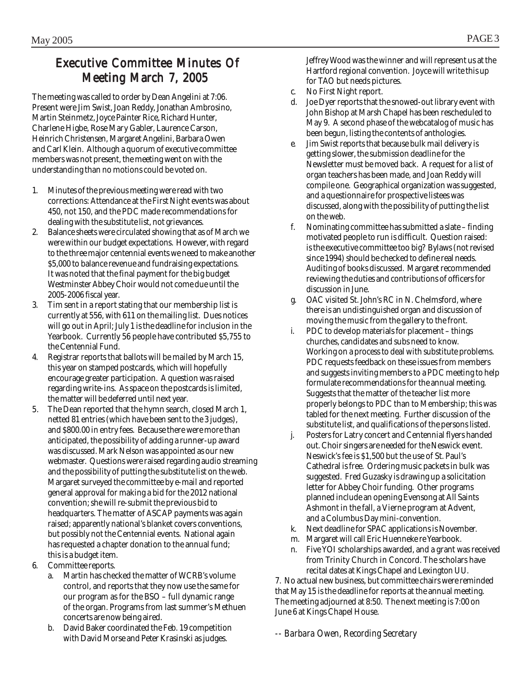## Executive Committee Minutes Of Meeting March 7, 2005

The meeting was called to order by Dean Angelini at 7:06. Present were Jim Swist, Joan Reddy, Jonathan Ambrosino, Martin Steinmetz, Joyce Painter Rice, Richard Hunter, Charlene Higbe, Rose Mary Gabler, Laurence Carson, Heinrich Christensen, Margaret Angelini, Barbara Owen and Carl Klein. Although a quorum of executive committee members was not present, the meeting went on with the understanding than no motions could be voted on.

- 1. Minutes of the previous meeting were read with two corrections: Attendance at the First Night events was about 450, not 150, and the PDC made recommendations for dealing with the substitute list, not grievances.
- 2. Balance sheets were circulated showing that as of March we were within our budget expectations. However, with regard to the three major centennial events we need to make another \$5,000 to balance revenue and fundraising expectations. It was noted that the final payment for the big budget Westminster Abbey Choir would not come due until the 2005-2006 fiscal year.
- 3. Tim sent in a report stating that our membership list is currently at 556, with 611 on the mailing list. Dues notices will go out in April; July 1 is the deadline for inclusion in the Yearbook. Currently 56 people have contributed \$5,755 to the Centennial Fund.
- 4. Registrar reports that ballots will be mailed by March 15, this year on stamped postcards, which will hopefully encourage greater participation. A question was raised regarding write-ins. As space on the postcards is limited, the matter will be deferred until next year.
- 5. The Dean reported that the hymn search, closed March 1, netted 81 entries (which have been sent to the 3 judges), and \$800.00 in entry fees. Because there were more than anticipated, the possibility of adding a runner-up award was discussed. Mark Nelson was appointed as our new webmaster. Questions were raised regarding audio streaming and the possibility of putting the substitute list on the web. Margaret surveyed the committee by e-mail and reported general approval for making a bid for the 2012 national convention; she will re-submit the previous bid to headquarters. The matter of ASCAP payments was again raised; apparently national's blanket covers conventions, but possibly not the Centennial events. National again has requested a chapter donation to the annual fund; this is a budget item.
- 6. Committee reports.
	- a. Martin has checked the matter of WCRB's volume control, and reports that they now use the same for our program as for the BSO – full dynamic range of the organ. Programs from last summer's Methuen concerts are now being aired.
	- b. David Baker coordinated the Feb. 19 competition with David Morse and Peter Krasinski as judges.

Jeffrey Wood was the winner and will represent us at the Hartford regional convention. Joyce will write this up for TAO but needs pictures.

- c. No First Night report.
- d. Joe Dyer reports that the snowed-out library event with John Bishop at Marsh Chapel has been rescheduled to May 9. A second phase of the webcatalog of music has been begun, listing the contents of anthologies.
- Jim Swist reports that because bulk mail delivery is getting slower, the submission deadline for the Newsletter must be moved back. A request for a list of organ teachers has been made, and Joan Reddy will compile one. Geographical organization was suggested, and a questionnaire for prospective listees was discussed, along with the possibility of putting the list on the web.
- f. Nominating committee has submitted a slate finding motivated people to run is difficult. Question raised: is the executive committee too big? Bylaws (not revised since 1994) should be checked to define real needs. Auditing of books discussed. Margaret recommended reviewing the duties and contributions of officers for discussion in June.
- g. OAC visited St. John's RC in N. Chelmsford, where there is an undistinguished organ and discussion of moving the music from the gallery to the front.
- i. PDC to develop materials for placement things churches, candidates and subs need to know. Working on a process to deal with substitute problems. PDC requests feedback on these issues from members and suggests inviting members to a PDC meeting to help formulate recommendations for the annual meeting. Suggests that the matter of the teacher list more properly belongs to PDC than to Membership; this was tabled for the next meeting. Further discussion of the substitute list, and qualifications of the persons listed.
- j. Posters for Latry concert and Centennial flyers handed out. Choir singers are needed for the Neswick event. Neswick's fee is \$1,500 but the use of St. Paul's Cathedral is free. Ordering music packets in bulk was suggested. Fred Guzasky is drawing up a solicitation letter for Abbey Choir funding. Other programs planned include an opening Evensong at All Saints Ashmont in the fall, a Vierne program at Advent, and a Columbus Day mini-convention.
- k. Next deadline for SPAC applications is November.
- m. Margaret will call Eric Huenneke re Yearbook.
- Five YOI scholarships awarded, and a grant was received from Trinity Church in Concord. The scholars have recital dates at Kings Chapel and Lexington UU.

7. No actual new business, but committee chairs were reminded that May 15 is the deadline for reports at the annual meeting. The meeting adjourned at 8:50. The next meeting is 7:00 on June 6 at Kings Chapel House.

*-- Barbara Owen, Recording Secretary*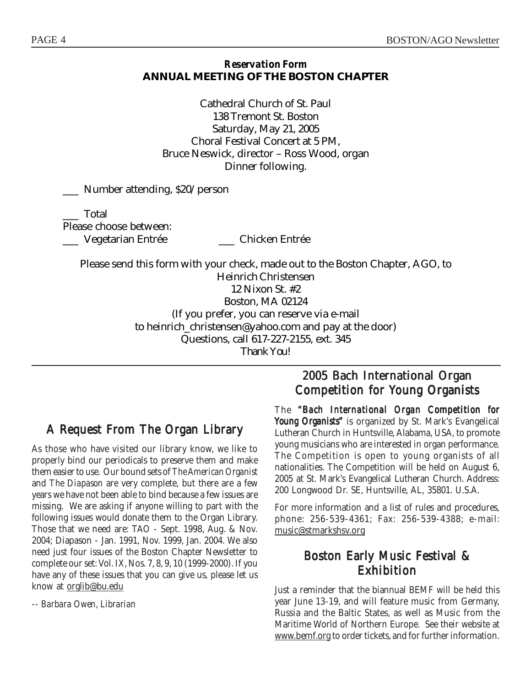#### *Reservation Form* **ANNUAL MEETING OF THE BOSTON CHAPTER**

Cathedral Church of St. Paul 138 Tremont St. Boston Saturday, May 21, 2005 Choral Festival Concert at 5 PM, Bruce Neswick, director – Ross Wood, organ Dinner following.

\_\_\_ Number attending, \$20/person

\_\_\_ Total Please choose between: \_\_\_ Vegetarian Entrée \_\_\_ Chicken Entrée

Please send this form with your check, made out to the Boston Chapter, AGO, to Heinrich Christensen 12 Nixon St. #2 Boston, MA 02124 (If you prefer, you can reserve via e-mail to heinrich\_christensen@yahoo.com and pay at the door) Questions, call 617-227-2155, ext. 345 *Thank You!*

## A Request From The Organ Library

As those who have visited our library know, we like to properly bind our periodicals to preserve them and make them easier to use. Our bound sets of *The American Organist* and *The Diapason* are very complete, but there are a few years we have not been able to bind because a few issues are missing. We are asking if anyone willing to part with the following issues would donate them to the Organ Library. Those that we need are: TAO - Sept. 1998, Aug. & Nov. 2004; Diapason - Jan. 1991, Nov. 1999, Jan. 2004. We also need just four issues of the Boston Chapter Newsletter to complete our set: Vol. IX, Nos. 7, 8, 9, 10 (1999-2000). If you have any of these issues that you can give us, please let us know at **orglib@bu.edu** 

*-- Barbara Owen, Librarian*

## 2005 Bach International Organ Competition for Young Organists

The *"Bach International Organ Competition for "Bach Young Organists"* is organized by St. Mark's Evangelical Lutheran Church in Huntsville, Alabama, USA, to promote young musicians who are interested in organ performance. The Competition is open to young organists of all nationalities. The Competition will be held on August 6, 2005 at St. Mark's Evangelical Lutheran Church. Address: 200 Longwood Dr. SE, Huntsville, AL, 35801. U.S.A.

For more information and a list of rules and procedures, phone: 256-539-4361; Fax: 256-539-4388; e-mail: music@stmarkshsv.org

## Boston Early Music Festival & Exhibition

Just a reminder that the biannual BEMF will be held this year June 13-19, and will feature music from Germany, Russia and the Baltic States, as well as Music from the Maritime World of Northern Europe. See their website at www.bemf.org to order tickets, and for further information.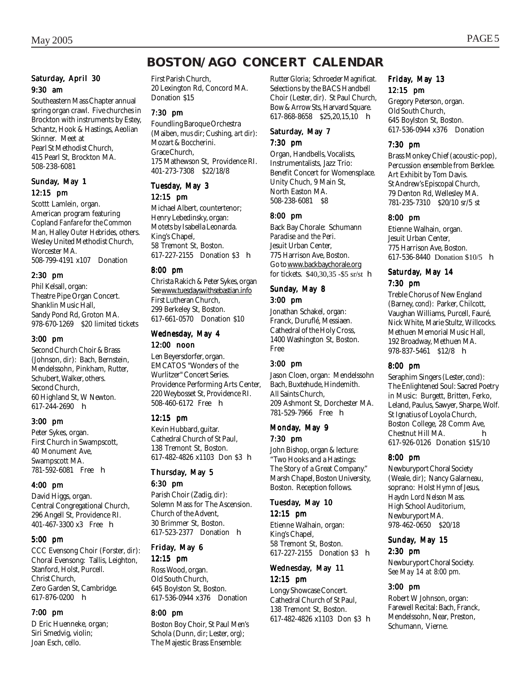## **BOSTON/AGO CONCERT CALENDAR**

#### Saturday, April 30 9:30 am

Southeastern Mass Chapter annual spring organ crawl. Five churches in Brockton with instruments by Estey, Schantz, Hook & Hastings, Aeolian Skinner. Meet at Pearl St Methodist Church, 415 Pearl St, Brockton MA. 508-238-6081

#### Sunday, May 1 12:15 pm

Scottt Lamlein, organ. American program featuring Copland *Fanfare for the Common Man,* Halley *Outer Hebrides,* others. Wesley United Methodist Church, Worcester MA. 508-799-4191 x107 Donation

#### 2:30 pm

Phil Kelsall, organ: Theatre Pipe Organ Concert. Shanklin Music Hall, Sandy Pond Rd, Groton MA. 978-670-1269 \$20 limited tickets

#### 3:00 pm

Second Church Choir & Brass (Johnson, *dir*): Bach, Bernstein, Mendelssohn, Pinkham, Rutter, Schubert, Walker, others. Second Church, 60 Highland St, W Newton.  $617-244-2690$  h

#### 3:00 pm

Peter Sykes, organ. First Church in Swampscott, 40 Monument Ave, Swampscott MA. 781-592-6081 Free h

#### 4:00 pm

David Higgs, organ. Central Congregational Church, 296 Angell St, Providence RI. 401-467-3300 x3 Free h

#### 5:00 pm

CCC Evensong Choir (Forster, *dir*): Choral Evensong: Tallis, Leighton, Stanford, Holst, Purcell. Christ Church, Zero Garden St, Cambridge. 617-876-0200 h

#### 7:00 pm

D Eric Huenneke, organ; Siri Smedvig, violin; Joan Esch, cello.

First Parish Church, 20 Lexington Rd, Concord MA. Donation \$15

#### 7:30 pm

Foundling Baroque Orchestra (Maiben, *mus dir*; Cushing, *art dir*): Mozart & Boccherini. Grace Church, 175 Mathewson St, Providence RI. 401-273-7308 \$22/18/8

#### Tuesday, May 3

12:15 pm

Michael Albert, countertenor; Henry Lebedinsky, organ: Motets by Isabella Leonarda. King's Chapel, 58 Tremont St, Boston. 617-227-2155 Donation \$3 h

#### 8:00 pm

Christa Rakich & Peter Sykes, organ *See* www.tuesdayswithsebastian.info First Lutheran Church, 299 Berkeley St, Boston. 617-661-0570 Donation \$10

#### Wednesday, May 4 12:00 noon

Len Beyersdorfer, organ. EMCATOS "Wonders of the Wurlitzer" Concert Series. Providence Performing Arts Center, 220 Weybosset St, Providence RI. 508-460-6172 Free h

#### 12:15 pm

Kevin Hubbard, guitar. Cathedral Church of St Paul, 138 Tremont St, Boston. 617-482-4826 x1103 Don \$3 h

## Thursday, May 5

6:30 pm Parish Choir (Zadig, *dir*): Solemn Mass for The Ascension. Church of the Advent, 30 Brimmer St, Boston. 617-523-2377 Donation h

#### Friday, May 6

12:15 pm Ross Wood, organ. Old South Church, 645 Boylston St, Boston. 617-536-0944 x376 Donation

#### 8:00 pm

Boston Boy Choir, St Paul Men's Schola (Dunn, *dir*; Lester, *org*); The Majestic Brass Ensemble:

Rutter *Gloria*; Schroeder *Magnificat.* Selections by the BACS Handbell Choir (Lester, *dir*). St Paul Church, Bow & Arrow Sts, Harvard Square. 617-868-8658 \$25,20,15,10 **h** 

#### Saturday, May 7 7:30 pm

Organ, Handbells, Vocalists, Instrumentalists, Jazz Trio: Benefit Concert for Womensplace. Unity Chuch, 9 Main St, North Easton MA. 508-238-6081 \$8

#### 8:00 pm

Back Bay Chorale: Schumann *Paradise and the Peri.* Jesuit Urban Center, 775 Harrison Ave, Boston. Go to www.backbaychorale.org for tickets. \$40,30,35 -\$5 sr/st h

## Sunday, May 8

#### 3:00 pm

Jonathan Schakel, organ: Franck, Duruflé, Messiaen. Cathedral of the Holy Cross, 1400 Washington St, Boston. Free

#### 3:00 pm

Jason Cloen, organ: Mendelssohn Bach, Buxtehude, Hindemith. All Saints Church, 209 Ashmont St, Dorchester MA. 781-529-7966 Free **h** 

#### Monday, May 9 7:30 pm

John Bishop, organ & lecture: "Two Hooks and a Hastings: The Story of a Great Company." Marsh Chapel, Boston University, Boston. Reception follows.

#### Tuesday, May 10

12:15 pm Etienne Walhain, organ: King's Chapel, 58 Tremont St, Boston. 617-227-2155 Donation \$3 h

#### Wednesday, May 11 12:15 pm

Longy Showcase Concert. Cathedral Church of St Paul, 138 Tremont St, Boston. 617-482-4826 x1103 Don \$3 h

#### Friday, May 13 12:15 pm

Gregory Peterson, organ. Old South Church, 645 Boylston St, Boston. 617-536-0944 x376 Donation

#### 7:30 pm

Brass Monkey Chief (acoustic-pop), Percussion ensemble from Berklee. Art Exhibit by Tom Davis. St Andrew's Episcopal Church, 79 Denton Rd, Wellesley MA. 781-235-7310 \$20/10 sr/5 st

#### 8:00 pm

Etienne Walhain, organ. Jesuit Urban Center, 775 Harrison Ave, Boston. 617-536-8440 Donation \$10/5 h

#### Saturday, May 14 7:30 pm

Treble Chorus of New England (Barney, *cond*): Parker, Chilcott, Vaughan Williams, Purcell, Fauré, Nick White, Marie Stultz, Willcocks. Methuen Memorial Music Hall, 192 Broadway, Methuen MA. 978-837-5461 \$12/8 h

#### 8:00 pm

Seraphim Singers (Lester, *cond*): The Enlightened Soul: Sacred Poetry in Music: Burgett, Britten, Ferko, Leland, Paulus, Sawyer, Sharpe, Wolf. St Ignatius of Loyola Church, Boston College, 28 Comm Ave, Chestnut Hill MA. **h** 617-926-0126 Donation \$15/10

#### 8:00 pm

Newburyport Choral Society (Weale, *dir*); Nancy Galarneau, soprano: Holst *Hymn of Jesus,* Haydn *Lord Nelson Mass.* High School Auditorium, Newburyport MA. 978-462-0650 \$20/18

#### Sunday, May 15 2:30 pm

Newburyport Choral Society. *See May 14 at 8:00 pm.*

#### 3:00 pm

Robert W Johnson, organ: Farewell Recital: Bach, Franck, Mendelssohn, Near, Preston, Schumann, Vierne.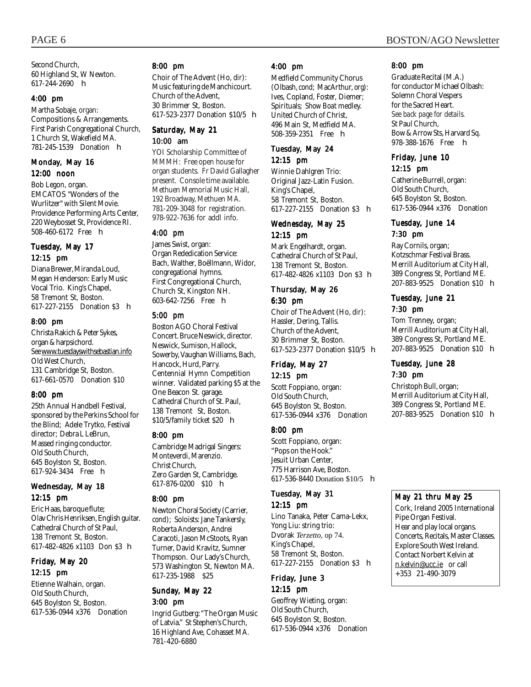Second Church, 60 Highland St, W Newton. 617-244-2690 h

#### 4:00 pm

Martha Sobaje, organ: Compositions & Arrangements. First Parish Congregational Church, 1 Church St, Wakefield MA. 781-245-1539 Donation h

#### Monday, May 16 12:00 noon

Bob Legon, organ. EMCATOS "Wonders of the Wurlitzer" with Silent Movie. Providence Performing Arts Center, 220 Weybosset St, Providence RI. 508-460-6172 Free h

#### Tuesday, May 17 12:15 pm

Diana Brewer, Miranda Loud, Megan Henderson: Early Music Vocal Trio. King's Chapel, 58 Tremont St, Boston. 617-227-2155 Donation \$3 h

#### 8:00 pm

Christa Rakich & Peter Sykes, organ & harpsichord. *See* www.tuesdayswithsebastian.info Old West Church, 131 Cambridge St, Boston. 617-661-0570 Donation \$10

#### 8:00 pm

25th Annual Handbell Festival, sponsored by the Perkins School for the Blind; Adele Trytko, Festival director; Debra L LeBrun, Massed ringing conductor. Old South Church, 645 Boylston St, Boston. 617-924-3434 Free h

#### Wednesday, May 18 12:15 pm

Eric Haas, baroque flute; Olav Chris Henriksen, English guitar. Cathedral Church of St Paul, 138 Tremont St, Boston. 617-482-4826 x1103 Don \$3 h

#### Friday, May 20 12:15 pm

Etienne Walhain, organ. Old South Church, 645 Boylston St, Boston. 617-536-0944 x376 Donation

#### 8:00 pm

Choir of The Advent (Ho, *dir*): Music featuring de Manchicourt. Church of the Advent, 30 Brimmer St, Boston. 617-523-2377 Donation \$10/5 h

#### Saturday, May 21 10:00 am

YOI Scholarship Committee of MMMH: Free open house for organ students. Fr David Gallagher present. Console time available. Methuen Memorial Music Hall, 192 Broadway, Methuen MA. 781-209-3048 for registration. 978-922-7636 for addl info.

#### 4:00 pm

James Swist, organ: Organ Rededication Service: Bach, Walther, Boëllmann, Widor, congregational hymns. First Congregational Church, Church St, Kingston NH. 603-642-7256 Free h

#### 5:00 pm

Boston AGO Choral Festival Concert. Bruce Neswick, director. Neswick, Sumison, Hallock, Sowerby, Vaughan Williams, Bach, Hancock, Hurd, Parry. Centennial Hymn Competition winner. Validated parking \$5 at the One Beacon St. garage. Cathedral Church of St. Paul, 138 Tremont St, Boston. \$10/5/family ticket \$20 h

#### 8:00 pm

Cambridge Madrigal Singers: Monteverdi, Marenzio. Christ Church, Zero Garden St, Cambridge. 617-876-0200 \$10 h

#### 8:00 pm

Newton Choral Society (Carrier, *cond*); Soloists: Jane Tankersly, Roberta Anderson, Andrei Caracoti, Jason McStoots, Ryan Turner, David Kravitz, Sumner Thompson. Our Lady's Church, 573 Washington St, Newton MA. 617-235-1988 \$25

#### Sunday, May 22 3:00 pm

Ingrid Gutberg: "The Organ Music of Latvia." St Stephen's Church, 16 Highland Ave, Cohasset MA. 781-420-6880

#### 4:00 pm

Medfield Community Chorus (Olbash, *cond*; MacArthur, *org*): Ives, Copland, Foster, Diemer; Spirituals; *Show Boat* medley. United Church of Christ, 496 Main St, Medfield MA. 508-359-2351 Free h

#### Tuesday, May 24 12:15 pm

Winnie Dahlgren Trio: Original Jazz-Latin Fusion. King's Chapel, 58 Tremont St, Boston. 617-227-2155 Donation \$3 h

#### Wednesday, May 25 12:15 pm

Mark Engelhardt, organ. Cathedral Church of St Paul, 138 Tremont St, Boston. 617-482-4826 x1103 Don \$3 h

#### Thursday, May 26 6:30 pm

Choir of The Advent (Ho, *dir*): Hassler, Dering, Tallis. Church of the Advent, 30 Brimmer St, Boston. 617-523-2377 Donation \$10/5 h

#### Friday, May 27 12:15 pm

Scott Foppiano, organ: Old South Church, 645 Boylston St, Boston. 617-536-0944 x376 Donation

#### 8:00 pm

Scott Foppiano, organ: "Pops on the Hook." Jesuit Urban Center, 775 Harrison Ave, Boston. 617-536-8440 Donation \$10/5 h

#### Tuesday, May 31 12:15 pm

Lino Tanaka, Peter Cama-Lekx, Yong Liu: string trio: Dvorak *Terzetto,* op 74. King's Chapel, 58 Tremont St, Boston. 617-227-2155 Donation \$3 h

#### Friday, June 3 12:15 pm

Geoffrey Wieting, organ: Old South Church, 645 Boylston St, Boston. 617-536-0944 x376 Donation

#### 8:00 pm

Graduate Recital (M.A.) for conductor Michael Olbash: Solemn Choral Vespers for the Sacred Heart. *See back page for details.* St Paul Church, Bow & Arrow Sts, Harvard Sq. 978-388-1676 Free **h** 

#### Friday, June 10 12:15 pm

Catherine Burrell, organ: Old South Church, 645 Boylston St, Boston. 617-536-0944 x376 Donation

#### Tuesday, June 14 7:30 pm

Ray Cornils, organ; Kotzschmar Festival Brass. Merrill Auditorium at City Hall, 389 Congress St, Portland ME. 207-883-9525 Donation \$10 **h** 

#### Tuesday, June 21 7:30 pm

Tom Trenney, organ; Merrill Auditorium at City Hall, 389 Congress St, Portland ME. 207-883-9525 Donation \$10 **h** 

#### Tuesday, June 28 7:30 pm

Christoph Bull, organ; Merrill Auditorium at City Hall, 389 Congress St, Portland ME. 207-883-9525 Donation \$10 h

#### May 21 thru May 25

Cork, Ireland 2005 International Pipe Organ Festival. Hear and play local organs. Concerts, Recitals, Master Classes. Explore South West Ireland. Contact Norbert Kelvin at n.kelvin@ucc.ie or call +353 21-490-3079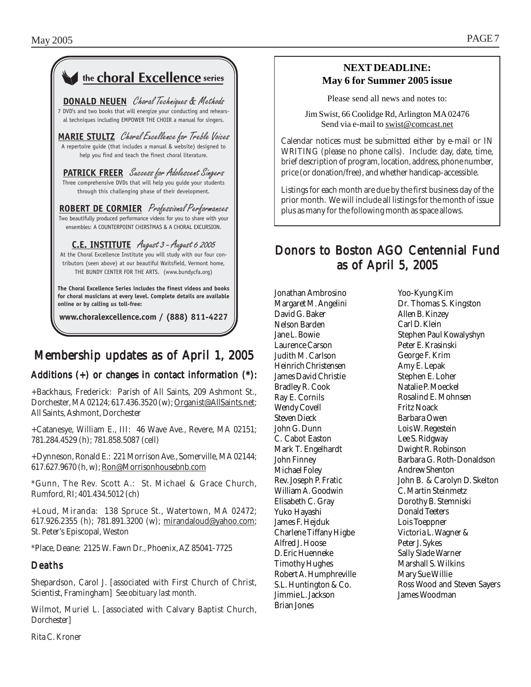| the <b>choral Excellence</b> series                                                                                                                                                                                                       |
|-------------------------------------------------------------------------------------------------------------------------------------------------------------------------------------------------------------------------------------------|
| <b>DONALD NEUEN</b> Choral Techniques & Methods<br>7 DVD's and two books that will energize your conducting and rehears-<br>al techniques including EMPOWER THE CHOIR a manual for singers.                                               |
| MARIE STULTZ Choral Excellence for Treble Voices<br>A repertoire quide (that includes a manual & website) designed to<br>help you find and teach the finest choral literature.                                                            |
| <b>PATRICK FREER</b> Success for Adolescent Singers<br>Three comprehensive DVDs that will help you quide your students<br>through this challenging phase of their development.                                                            |
| <b>ROBERT DE CORMIER</b> Professional Performances<br>Two beautifully produced performance videos for you to share with your<br>ensembles: A COUNTERPOINT CHIRSTMAS & A CHORAL EXCURSION.                                                 |
| C.E. INSTITUTE August 3 - August 6 2005<br>At the Choral Excellence Institute you will study with our four con-<br>tributors (seen above) at our beautiful Waitsfield, Vermont home,<br>THE BUNDY CENTER FOR THE ARTS. (www.bundycfa.org) |
| The Choral Excellence Series includes the finest videos and books<br>for choral musicians at every level. Complete details are available<br>online or by calling us toll-free:                                                            |
| www.choralexcellence.com / (888) 811-4227                                                                                                                                                                                                 |

## Membership updates as of April 1, 2005

#### Additions  $(+)$  or changes in contact information  $(*)$ :

+Backhaus, Frederick: Parish of All Saints, 209 Ashmont St., Dorchester, MA 02124; 617.436.3520 (w); Organist@AllSaints.net; All Saints, Ashmont, Dorchester

+Catanesye, William E., III: 46 Wave Ave., Revere, MA 02151; 781.284.4529 (h); 781.858.5087 (cell)

+Dynneson, Ronald E.: 221 Morrison Ave., Somerville, MA 02144; 617.627.9670 (h, w); Ron@Morrisonhousebnb.com

\*Gunn, The Rev. Scott A.: St. Michael & Grace Church, Rumford, RI; 401.434.5012 (ch)

+Loud, Miranda: 138 Spruce St., Watertown, MA 02472; 617.926.2355 (h); 781.891.3200 (w); mirandaloud@yahoo.com; St. Peter's Episcopal, Weston

\*Place, Deane: 2125 W. Fawn Dr., Phoenix, AZ 85041-7725

#### Deaths

Shepardson, Carol J. [associated with First Church of Christ, Scientist, Framingham] *See obituary last month.*

Wilmot, Muriel L. [associated with Calvary Baptist Church, Dorchester]

**NEXT DEADLINE: May 6 for Summer 2005 issue**

Please send all news and notes to:

Jim Swist, 66 Coolidge Rd, Arlington MA 02476 Send via e-mail to swist@comcast.net

. Calendar notices must be submitted either by e-mail or IN WRITING (please no phone calls). Include: day, date, time, brief description of program, location, address, phone number, price (or donation/free), and whether handicap-accessible.

Listings for each month are due by the first business day of the prior month. We will include all listings for the month of issue plus as many for the following month as space allows.

## Donors to Boston AGO Centennial Fund as of April 5, 2005

Jonathan Ambrosino Margaret M. Angelini David G. Baker Nelson Barden Jane L. Bowie Laurence Carson Judith M. Carlson Heinrich Christensen James David Christie Bradley R. Cook Ray E. Cornils Wendy Covell Steven Dieck John G. Dunn C. Cabot Easton Mark T. Engelhardt John Finney Michael Foley Rev. Joseph P. Fratic William A. Goodwin Elisabeth C. Gray Yuko Hayashi James F. Hejduk Charlene Tiffany Higbe Alfred J. Hoose D. Eric Huenneke Timothy Hughes Robert A. Humphreville S.L. Huntington & Co. Jimmie L. Jackson Brian Jones

Yoo-Kyung Kim Dr. Thomas S. Kingston Allen B. Kinzey Carl D. Klein Stephen Paul Kowalyshyn Peter E. Krasinski George F. Krim Amy E. Lepak Stephen E. Loher Natalie P. Moeckel Rosalind E. Mohnsen Fritz Noack Barbara Owen Lois W. Regestein Lee S. Ridgway Dwight R. Robinson Barbara G. Roth-Donaldson Andrew Shenton John B. & Carolyn D. Skelton C. Martin Steinmetz Dorothy B. Stemniski Donald Teeters Lois Toeppner Victoria L. Wagner & Peter J. Sykes Sally Slade Warner Marshall S. Wilkins Mary Sue Willie Ross Wood and Steven Sayers James Woodman

Rita C. Kroner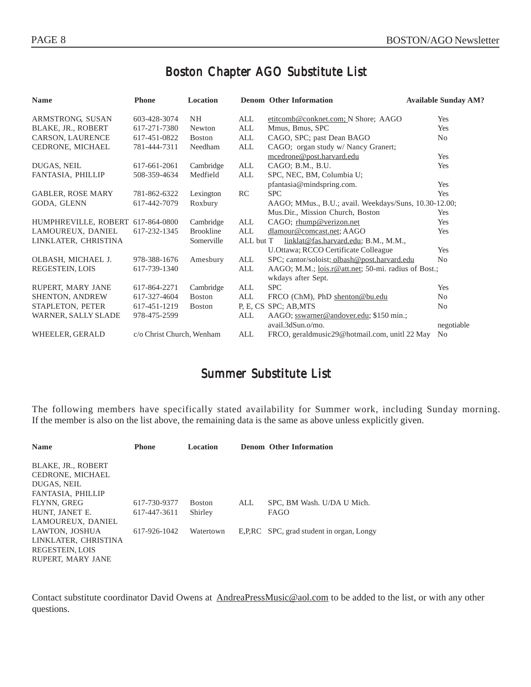## Boston Chapter AGO Substitute List

| <b>Name</b>                       | <b>Phone</b>              | Location         |           | <b>Denom Other Information</b>                        | <b>Available Sunday AM?</b> |
|-----------------------------------|---------------------------|------------------|-----------|-------------------------------------------------------|-----------------------------|
| ARMSTRONG, SUSAN                  | 603-428-3074              | <b>NH</b>        | ALL       | etitcomb@conknet.com; N Shore; AAGO                   | Yes                         |
| <b>BLAKE, JR., ROBERT</b>         | 617-271-7380              | Newton           | ALL       | Mmus, Bmus, SPC                                       | Yes                         |
| <b>CARSON, LAURENCE</b>           | 617-451-0822              | <b>Boston</b>    | ALL       | CAGO, SPC; past Dean BAGO                             | No                          |
| CEDRONE, MICHAEL                  | 781-444-7311              | Needham          | ALL       | CAGO; organ study w/ Nancy Granert;                   |                             |
|                                   |                           |                  |           | mcedrone@post.harvard.edu                             | Yes                         |
| DUGAS, NEIL                       | 617-661-2061              | Cambridge        | ALL       | CAGO; B.M., B.U.                                      | Yes                         |
| FANTASIA, PHILLIP                 | 508-359-4634              | Medfield         | ALL       | SPC, NEC, BM, Columbia U;                             |                             |
|                                   |                           |                  |           | pfantasia@mindspring.com.                             | Yes                         |
| <b>GABLER, ROSE MARY</b>          | 781-862-6322              | Lexington        | RC        | <b>SPC</b>                                            | Yes                         |
| GODA, GLENN                       | 617-442-7079              | Roxbury          |           | AAGO; MMus., B.U.; avail. Weekdays/Suns, 10.30-12.00; |                             |
|                                   |                           |                  |           | Mus.Dir., Mission Church, Boston                      | Yes                         |
| HUMPHREVILLE, ROBERT 617-864-0800 |                           | Cambridge        | ALL       | CAGO; rhump@verizon.net                               | Yes                         |
| LAMOUREUX, DANIEL                 | 617-232-1345              | <b>Brookline</b> | ALL       | dlamour@comcast.net; AAGO                             | Yes                         |
| LINKLATER, CHRISTINA              |                           | Somerville       | ALL but T | linklat@fas.harvard.edu; B.M., M.M.,                  |                             |
|                                   |                           |                  |           | U.Ottawa; RCCO Certificate Colleague                  | Yes                         |
| OLBASH, MICHAEL J.                | 978-388-1676              | Amesbury         | ALL       | SPC; cantor/soloist; olbash@post.harvard.edu          | N <sub>0</sub>              |
| REGESTEIN, LOIS                   | 617-739-1340              |                  | ALL       | AAGO; M.M.; lois.r@att.net; 50-mi. radius of Bost.;   |                             |
|                                   |                           |                  |           | wkdays after Sept.                                    |                             |
| RUPERT, MARY JANE                 | 617-864-2271              | Cambridge        | ALL       | <b>SPC</b>                                            | Yes                         |
| <b>SHENTON, ANDREW</b>            | 617-327-4604              | <b>Boston</b>    | ALL       | FRCO (ChM), PhD shenton@bu.edu                        | N <sub>0</sub>              |
| STAPLETON, PETER                  | 617-451-1219              | <b>Boston</b>    |           | P. E. CS SPC; AB, MTS                                 | N <sub>0</sub>              |
| WARNER, SALLY SLADE               | 978-475-2599              |                  | ALL       | AAGO; sswarner@andover.edu; \$150 min.;               |                             |
|                                   |                           |                  |           | avail.3dSun.o/mo.                                     | negotiable                  |
| WHEELER, GERALD                   | c/o Christ Church, Wenham |                  | ALL       | FRCO, geraldmusic29@hotmail.com, unitl 22 May         | N <sub>0</sub>              |

## Summer Substitute List

The following members have specifically stated availability for Summer work, including Sunday morning. If the member is also on the list above, the remaining data is the same as above unless explicitly given.

| <b>Name</b>               | <b>Phone</b> | Location      |     | <b>Denom Other Information</b>           |
|---------------------------|--------------|---------------|-----|------------------------------------------|
| <b>BLAKE, JR., ROBERT</b> |              |               |     |                                          |
| CEDRONE, MICHAEL          |              |               |     |                                          |
| DUGAS, NEIL               |              |               |     |                                          |
| FANTASIA, PHILLIP         |              |               |     |                                          |
| FLYNN, GREG               | 617-730-9377 | <b>Boston</b> | ALL | SPC, BM Wash. U/DA U Mich.               |
| HUNT, JANET E.            | 617-447-3611 | Shirley       |     | <b>FAGO</b>                              |
| LAMOUREUX, DANIEL         |              |               |     |                                          |
| LAWTON, JOSHUA            | 617-926-1042 | Watertown     |     | E,P,RC SPC, grad student in organ, Longy |
| LINKLATER, CHRISTINA      |              |               |     |                                          |
| REGESTEIN, LOIS           |              |               |     |                                          |
| RUPERT, MARY JANE         |              |               |     |                                          |

Contact substitute coordinator David Owens at AndreaPressMusic@aol.com to be added to the list, or with any other questions.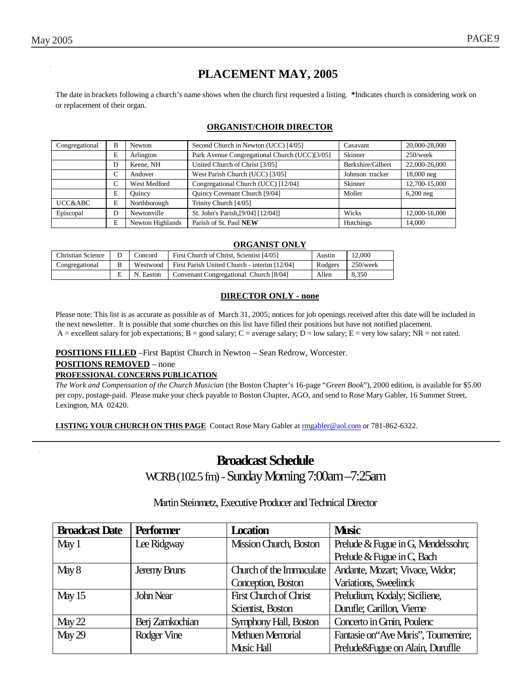E | N. Easton | Convenant Congregational Church [8/04] | Allen | 8,350 **DIRECTOR ONLY - none**

Christian Science D Concord First Church of Christ, Scientist [4/05] Austin 12,000 Congregational B Westwood First Parish United Church - interim [12/04] Rodgers 250/week

Please note: This list is as accurate as possible as of March 31, 2005; notices for job openings received after this date will be included in the next newsletter. It is possible that some churches on this list have filled their positions but have not notified placement. A = excellent salary for job expectations; B = good salary; C = average salary; D = low salary; E = very low salary; NR = not rated.

**ORGANIST ONLY**

**POSITIONS FILLED** –First Baptist Church in Newton – Sean Redrow, Worcester.

**POSITIONS REMOVED** – none

#### **PROFESSIONAL CONCERNS PUBLICATION**

*The Work and Compensation of the Church Musician* (the Boston Chapter's 16-page "*Green Book*"), 2000 edition, is available for \$5.00 per copy, postage-paid. Please make your check payable to Boston Chapter, AGO, and send to Rose Mary Gabler, 16 Summer Street, Lexington, MA 02420.

**LISTING YOUR CHURCH ON THIS PAGE** Contact Rose Mary Gabler at rmgabler@aol.com or 781-862-6322.

# WCRB (102.5 fm) - Sunday Morning 7:00am –7:25am

#### Martin Steinmetz, Executive Producer and Technical Director

| <b>Broadcast Date</b> | <b>Performer</b> | <b>Location</b>          | <b>Music</b>                          |
|-----------------------|------------------|--------------------------|---------------------------------------|
| May1                  | Lee Ridgway      | Mission Church, Boston   | Prelude & Fugue in G, Mendelssohn;    |
|                       |                  |                          | Prelude & Fugue in C, Bach            |
| May 8                 | Jeremy Bruns     | Church of the Immaculate | Andante, Mozart; Vivace, Widor;       |
|                       |                  | Conception, Boston       | Variations, Sweelinck                 |
| May 15                | John Near        | First Church of Christ   | Preludium, Kodaly; Siciliene,         |
|                       |                  | Scientist, Boston        | Durufle; Carillon, Vierne             |
| May 22                | Berj Zamkochian  | Symphony Hall, Boston    | Concerto in Gmin, Poulenc             |
| May 29                | Rodger Vine      | <b>Methuen Memorial</b>  | Fantasie on 'Ave Maris'', Tournemire; |
|                       |                  | Music Hall               | Prelude&Fugue on Alain, Duruflle      |

## **PLACEMENT MAY, 2005**

The date in brackets following a church's name shows when the church first requested a listing. **\***Indicates church is considering work on or replacement of their organ.

#### **ORGANIST/CHOIR DIRECTOR**

| Congregational | <b>Newton</b><br>В |                  | Second Church in Newton (UCC) [4/05]          | Casavant          | 20,000-28,000 |
|----------------|--------------------|------------------|-----------------------------------------------|-------------------|---------------|
|                | E                  | Arlington        | Park Avenue Congregational Church (UCC)[3/05] | Skinner           | $250$ /week   |
|                | Keene, NH<br>D     |                  | United Church of Christ [3/05]                | Berkshire/Gilbert | 22,000-26,000 |
|                | C                  | Andover          | West Parish Church (UCC) [3/05]               | Johnson tracker   | 18,000 neg    |
|                | C                  | West Medford     | Congregational Church (UCC) [12/04]           | <b>Skinner</b>    | 12,700-15,000 |
|                | E                  | Ouincy           | <b>Ouincy Covenant Church [9/04]</b>          | Moller            | $6,200$ neg   |
| UCC&ABC        | E                  | Northborough     | Trinity Church [4/05]                         |                   |               |
| Episcopal      | D                  | Newtonville      | St. John's Parish, [9/04] [12/04]]            | Wicks             | 12,000-16,000 |
|                | E                  | Newton Highlands | Parish of St. Paul NEW                        | Hutchings         | 14.000        |

## **Broadcast Schedule**